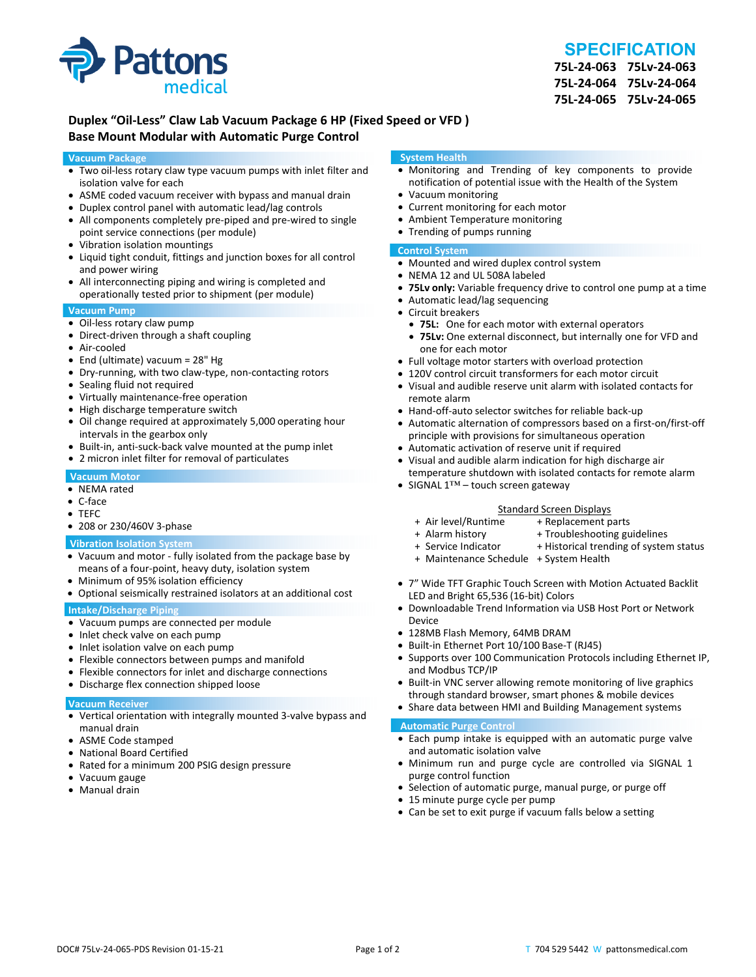

# **SPECIFICATION**

**75L‐24‐063 75Lv‐24‐063 75L‐24‐064 75Lv‐24‐064 75L‐24‐065 75Lv‐24‐065**

## **Duplex "Oil‐Less" Claw Lab Vacuum Package 6 HP (Fixed Speed or VFD ) Base Mount Modular with Automatic Purge Control**

#### **Vacuum Package**

- Two oil‐less rotary claw type vacuum pumps with inlet filter and isolation valve for each
- ASME coded vacuum receiver with bypass and manual drain
- Duplex control panel with automatic lead/lag controls
- All components completely pre-piped and pre-wired to single point service connections (per module)
- Vibration isolation mountings
- Liquid tight conduit, fittings and junction boxes for all control and power wiring
- All interconnecting piping and wiring is completed and operationally tested prior to shipment (per module)

#### **Vacuum Pump**

- Oil-less rotary claw pump
- Direct-driven through a shaft coupling
- Air‐cooled
- End (ultimate) vacuum = 28" Hg
- Dry-running, with two claw-type, non-contacting rotors
- Sealing fluid not required
- Virtually maintenance-free operation
- High discharge temperature switch
- Oil change required at approximately 5,000 operating hour intervals in the gearbox only
- Built-in, anti-suck-back valve mounted at the pump inlet
- 2 micron inlet filter for removal of particulates

#### **Vacuum Motor**

- NEMA rated
- C‐face
- TEFC
- 208 or 230/460V 3‐phase

#### **Vibration Isolation System**

- Vacuum and motor ‐ fully isolated from the package base by means of a four‐point, heavy duty, isolation system
- Minimum of 95% isolation efficiency
- Optional seismically restrained isolators at an additional cost

#### **Intake/Discharge Piping**

- Vacuum pumps are connected per module
- Inlet check valve on each pump
- Inlet isolation valve on each pump
- Flexible connectors between pumps and manifold
- Flexible connectors for inlet and discharge connections
- Discharge flex connection shipped loose

#### **Vacuum Receiver**

- Vertical orientation with integrally mounted 3‐valve bypass and manual drain
- ASME Code stamped
- National Board Certified
- Rated for a minimum 200 PSIG design pressure
- Vacuum gauge
- Manual drain

#### **System Health**

- Monitoring and Trending of key components to provide notification of potential issue with the Health of the System
- Vacuum monitoring
- Current monitoring for each motor
- Ambient Temperature monitoring
- Trending of pumps running

#### **Control System**

- Mounted and wired duplex control system
- NEMA 12 and UL 508A labeled
- **75Lv only:** Variable frequency drive to control one pump at a time
- Automatic lead/lag sequencing
- Circuit breakers
- **75L:** One for each motor with external operators
- **75Lv:** One external disconnect, but internally one for VFD and one for each motor
- Full voltage motor starters with overload protection
- 120V control circuit transformers for each motor circuit
- Visual and audible reserve unit alarm with isolated contacts for remote alarm
- Hand-off-auto selector switches for reliable back-up
- Automatic alternation of compressors based on a first-on/first-off principle with provisions for simultaneous operation
- Automatic activation of reserve unit if required
- Visual and audible alarm indication for high discharge air temperature shutdown with isolated contacts for remote alarm
- SIGNAL 1™ touch screen gateway

# Standard Screen Displays<br>Air level/Runtime + Replacement p +

- + Air level/Runtime + Replacement parts
- 
- + Troubleshooting guidelines
- + Service Indicator + Historical trending of system status
- + Maintenance Schedule + System Health
- 7" Wide TFT Graphic Touch Screen with Motion Actuated Backlit LED and Bright 65,536 (16‐bit) Colors
- Downloadable Trend Information via USB Host Port or Network Device
- 128MB Flash Memory, 64MB DRAM
- Built-in Ethernet Port 10/100 Base-T (RJ45)
- Supports over 100 Communication Protocols including Ethernet IP, and Modbus TCP/IP
- Built-in VNC server allowing remote monitoring of live graphics through standard browser, smart phones & mobile devices
- Share data between HMI and Building Management systems

#### **Automatic Purge Control**

- Each pump intake is equipped with an automatic purge valve and automatic isolation valve
- Minimum run and purge cycle are controlled via SIGNAL 1 purge control function
- Selection of automatic purge, manual purge, or purge off
- 15 minute purge cycle per pump
- Can be set to exit purge if vacuum falls below a setting